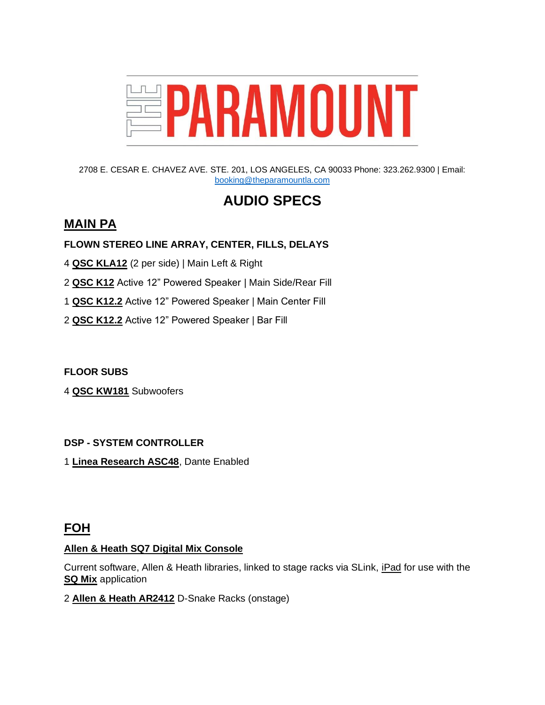

2708 E. CESAR E. CHAVEZ AVE. STE. 201, LOS ANGELES, CA 90033 Phone: 323.262.9300 | Email: [booking@theparamountla.com](mailto:booking@theparamountla.com)

# **AUDIO SPECS**

# **MAIN PA**

#### **FLOWN STEREO LINE ARRAY, CENTER, FILLS, DELAYS**

- 4 **QSC KLA12** (2 per side) | Main Left & Right
- 2 **QSC K12** Active 12" Powered Speaker *|* Main Side/Rear Fill
- 1 **QSC K12.2** Active 12" Powered Speaker | Main Center Fill
- 2 **QSC K12.2** Active 12" Powered Speaker | Bar Fill

**FLOOR SUBS**

4 **QSC KW181** Subwoofers

#### **DSP - SYSTEM CONTROLLER**

1 **Linea Research ASC48**, Dante Enabled

## **FOH**

#### **Allen & Heath SQ7 Digital Mix Console**

Current software, Allen & Heath libraries, linked to stage racks via SLink, iPad for use with the **SQ Mix** application

2 **Allen & Heath AR2412** D-Snake Racks (onstage)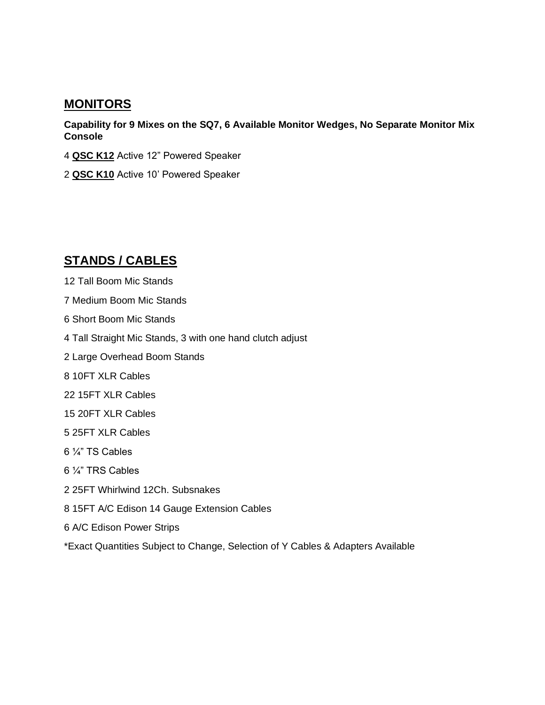### **MONITORS**

**Capability for 9 Mixes on the SQ7, 6 Available Monitor Wedges, No Separate Monitor Mix Console**

- 4 **QSC K12** Active 12" Powered Speaker
- 2 **QSC K10** Active 10' Powered Speaker

# **STANDS / CABLES**

- 12 Tall Boom Mic Stands
- 7 Medium Boom Mic Stands
- 6 Short Boom Mic Stands
- 4 Tall Straight Mic Stands, 3 with one hand clutch adjust
- 2 Large Overhead Boom Stands
- 8 10FT XLR Cables
- 22 15FT XLR Cables
- 15 20FT XLR Cables
- 5 25FT XLR Cables
- 6 ¼" TS Cables
- 6 ¼" TRS Cables
- 2 25FT Whirlwind 12Ch. Subsnakes
- 8 15FT A/C Edison 14 Gauge Extension Cables
- 6 A/C Edison Power Strips

\*Exact Quantities Subject to Change, Selection of Y Cables & Adapters Available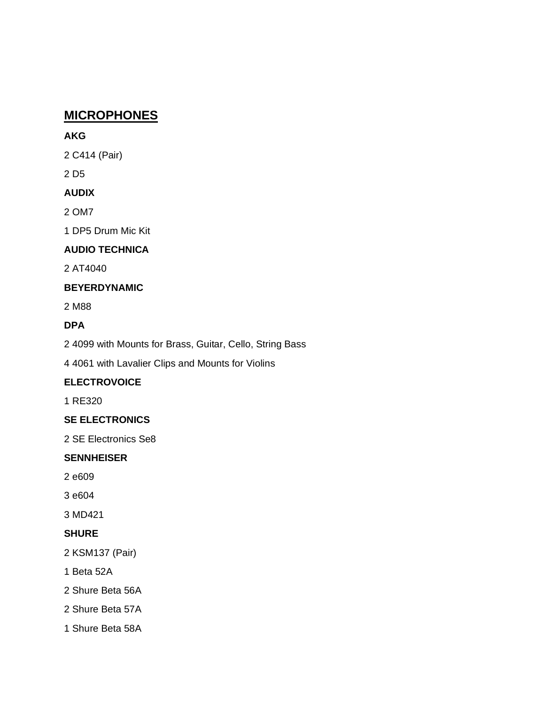# **MICROPHONES**

#### **AKG**

2 C414 (Pair)

2 D5

### **AUDIX**

2 OM7

1 DP5 Drum Mic Kit

### **AUDIO TECHNICA**

2 AT4040

### **BEYERDYNAMIC**

2 M88

### **DPA**

2 4099 with Mounts for Brass, Guitar, Cello, String Bass

4 4061 with Lavalier Clips and Mounts for Violins

## **ELECTROVOICE**

1 RE320

### **SE ELECTRONICS**

2 SE Electronics Se8

### **SENNHEISER**

2 e609

3 e604

3 MD421

### **SHURE**

2 KSM137 (Pair)

- 1 Beta 52A
- 2 Shure Beta 56A
- 2 Shure Beta 57A
- 1 Shure Beta 58A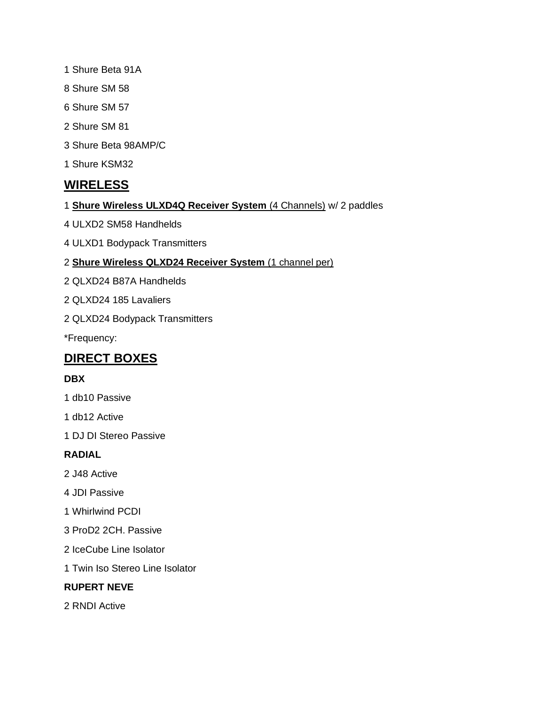- 1 Shure Beta 91A
- 8 Shure SM 58
- 6 Shure SM 57
- 2 Shure SM 81
- 3 Shure Beta 98AMP/C
- 1 Shure KSM32

# **WIRELESS**

- 1 **Shure Wireless ULXD4Q Receiver System** (4 Channels) w/ 2 paddles
- 4 ULXD2 SM58 Handhelds
- 4 ULXD1 Bodypack Transmitters

#### 2 **Shure Wireless QLXD24 Receiver System** (1 channel per)

- 2 QLXD24 B87A Handhelds
- 2 QLXD24 185 Lavaliers
- 2 QLXD24 Bodypack Transmitters

\*Frequency:

# **DIRECT BOXES**

#### **DBX**

- 1 db10 Passive
- 1 db12 Active
- 1 DJ DI Stereo Passive

#### **RADIAL**

- 2 J48 Active
- 4 JDI Passive
- 1 Whirlwind PCDI
- 3 ProD2 2CH. Passive
- 2 IceCube Line Isolator
- 1 Twin Iso Stereo Line Isolator

#### **RUPERT NEVE**

2 RNDI Active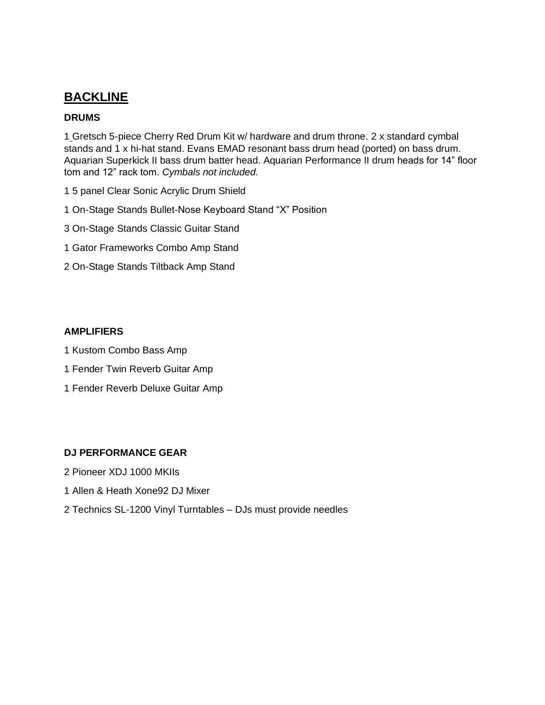# **BACKLINE**

#### **DRUMS**

1 Gretsch 5-piece Cherry Red Drum Kit w/ hardware and drum throne. 2 x standard cymbal stands and 1 x hi-hat stand. Evans EMAD resonant bass drum head (ported) on bass drum. Aquarian Superkick II bass drum batter head. Aquarian Performance II drum heads for 14" floor tom and 12" rack tom. *Cymbals not included.*

- 1 5 panel Clear Sonic Acrylic Drum Shield
- 1 On-Stage Stands Bullet-Nose Keyboard Stand "X" Position
- 3 On-Stage Stands Classic Guitar Stand
- 1 Gator Frameworks Combo Amp Stand
- 2 On-Stage Stands Tiltback Amp Stand

#### **AMPLIFIERS**

- 1 Kustom Combo Bass Amp
- 1 Fender Twin Reverb Guitar Amp
- 1 Fender Reverb Deluxe Guitar Amp

#### **DJ PERFORMANCE GEAR**

- 2 Pioneer XDJ 1000 MKIIs
- 1 Allen & Heath Xone92 DJ Mixer
- 2 Technics SL-1200 Vinyl Turntables DJs must provide needles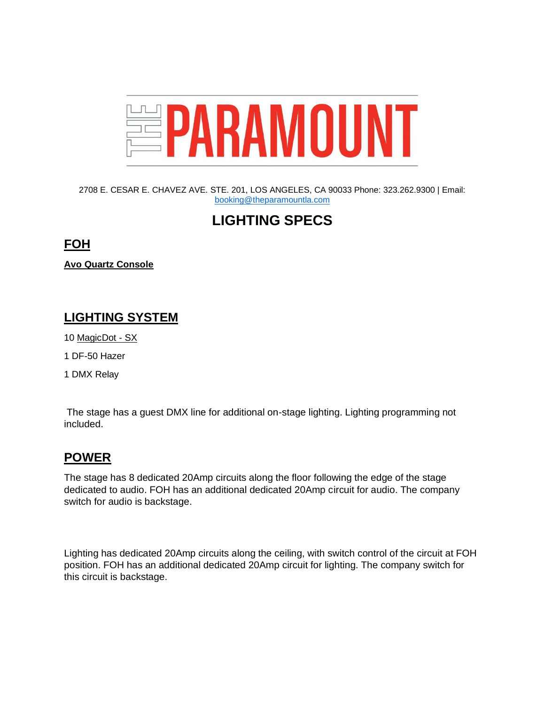

2708 E. CESAR E. CHAVEZ AVE. STE. 201, LOS ANGELES, CA 90033 Phone: 323.262.9300 | Email: [booking@theparamountla.com](mailto:booking@theparamountla.com)

# **LIGHTING SPECS**

### **FOH**

**Avo Quartz Console** 

# **LIGHTING SYSTEM**

- 10 MagicDot SX
- 1 DF-50 Hazer
- 1 DMX Relay

The stage has a guest DMX line for additional on-stage lighting. Lighting programming not included.

# **POWER**

The stage has 8 dedicated 20Amp circuits along the floor following the edge of the stage dedicated to audio. FOH has an additional dedicated 20Amp circuit for audio. The company switch for audio is backstage.

Lighting has dedicated 20Amp circuits along the ceiling, with switch control of the circuit at FOH position. FOH has an additional dedicated 20Amp circuit for lighting. The company switch for this circuit is backstage.